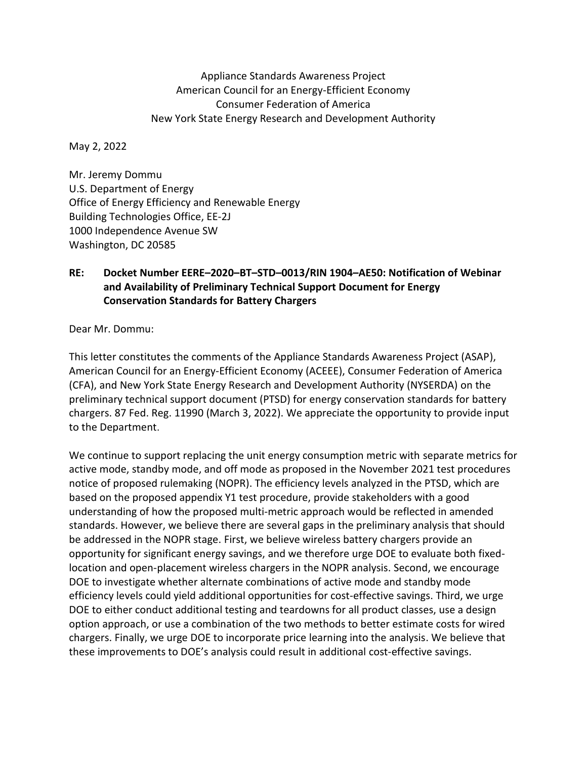Appliance Standards Awareness Project American Council for an Energy-Efficient Economy Consumer Federation of America New York State Energy Research and Development Authority

May 2, 2022

Mr. Jeremy Dommu U.S. Department of Energy Office of Energy Efficiency and Renewable Energy Building Technologies Office, EE-2J 1000 Independence Avenue SW Washington, DC 20585

## **RE: Docket Number EERE–2020–BT–STD–0013/RIN 1904–AE50: Notification of Webinar and Availability of Preliminary Technical Support Document for Energy Conservation Standards for Battery Chargers**

Dear Mr. Dommu:

This letter constitutes the comments of the Appliance Standards Awareness Project (ASAP), American Council for an Energy-Efficient Economy (ACEEE), Consumer Federation of America (CFA), and New York State Energy Research and Development Authority (NYSERDA) on the preliminary technical support document (PTSD) for energy conservation standards for battery chargers. 87 Fed. Reg. 11990 (March 3, 2022). We appreciate the opportunity to provide input to the Department.

We continue to support replacing the unit energy consumption metric with separate metrics for active mode, standby mode, and off mode as proposed in the November 2021 test procedures notice of proposed rulemaking (NOPR). The efficiency levels analyzed in the PTSD, which are based on the proposed appendix Y1 test procedure, provide stakeholders with a good understanding of how the proposed multi-metric approach would be reflected in amended standards. However, we believe there are several gaps in the preliminary analysis that should be addressed in the NOPR stage. First, we believe wireless battery chargers provide an opportunity for significant energy savings, and we therefore urge DOE to evaluate both fixedlocation and open-placement wireless chargers in the NOPR analysis. Second, we encourage DOE to investigate whether alternate combinations of active mode and standby mode efficiency levels could yield additional opportunities for cost-effective savings. Third, we urge DOE to either conduct additional testing and teardowns for all product classes, use a design option approach, or use a combination of the two methods to better estimate costs for wired chargers. Finally, we urge DOE to incorporate price learning into the analysis. We believe that these improvements to DOE's analysis could result in additional cost-effective savings.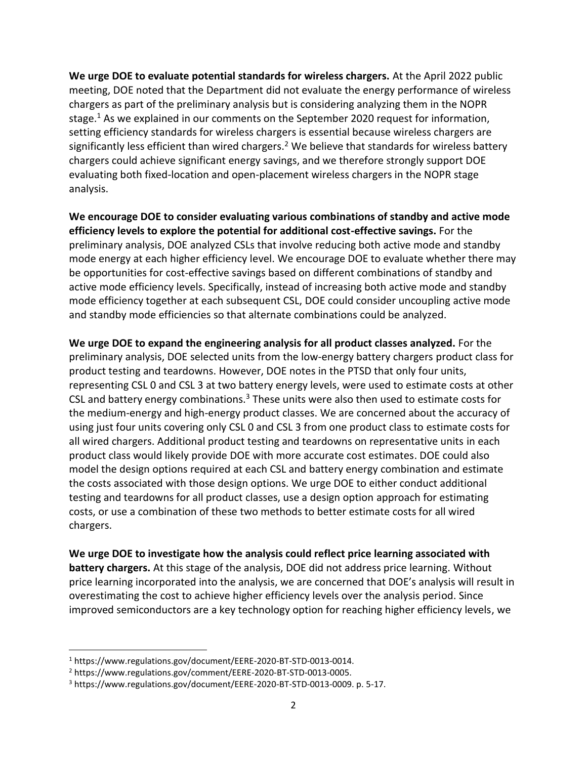**We urge DOE to evaluate potential standards for wireless chargers.** At the April 2022 public meeting, DOE noted that the Department did not evaluate the energy performance of wireless chargers as part of the preliminary analysis but is considering analyzing them in the NOPR stage.<sup>1</sup> As we explained in our comments on the September 2020 request for information, setting efficiency standards for wireless chargers is essential because wireless chargers are significantly less efficient than wired chargers.<sup>2</sup> We believe that standards for wireless battery chargers could achieve significant energy savings, and we therefore strongly support DOE evaluating both fixed-location and open-placement wireless chargers in the NOPR stage analysis.

**We encourage DOE to consider evaluating various combinations of standby and active mode efficiency levels to explore the potential for additional cost-effective savings.** For the preliminary analysis, DOE analyzed CSLs that involve reducing both active mode and standby mode energy at each higher efficiency level. We encourage DOE to evaluate whether there may be opportunities for cost-effective savings based on different combinations of standby and active mode efficiency levels. Specifically, instead of increasing both active mode and standby mode efficiency together at each subsequent CSL, DOE could consider uncoupling active mode and standby mode efficiencies so that alternate combinations could be analyzed.

**We urge DOE to expand the engineering analysis for all product classes analyzed.** For the preliminary analysis, DOE selected units from the low-energy battery chargers product class for product testing and teardowns. However, DOE notes in the PTSD that only four units, representing CSL 0 and CSL 3 at two battery energy levels, were used to estimate costs at other CSL and battery energy combinations.<sup>3</sup> These units were also then used to estimate costs for the medium-energy and high-energy product classes. We are concerned about the accuracy of using just four units covering only CSL 0 and CSL 3 from one product class to estimate costs for all wired chargers. Additional product testing and teardowns on representative units in each product class would likely provide DOE with more accurate cost estimates. DOE could also model the design options required at each CSL and battery energy combination and estimate the costs associated with those design options. We urge DOE to either conduct additional testing and teardowns for all product classes, use a design option approach for estimating costs, or use a combination of these two methods to better estimate costs for all wired chargers.

**We urge DOE to investigate how the analysis could reflect price learning associated with battery chargers.** At this stage of the analysis, DOE did not address price learning. Without price learning incorporated into the analysis, we are concerned that DOE's analysis will result in overestimating the cost to achieve higher efficiency levels over the analysis period. Since improved semiconductors are a key technology option for reaching higher efficiency levels, we

<sup>1</sup> https://www.regulations.gov/document/EERE-2020-BT-STD-0013-0014.

<sup>2</sup> https://www.regulations.gov/comment/EERE-2020-BT-STD-0013-0005.

<sup>3</sup> https://www.regulations.gov/document/EERE-2020-BT-STD-0013-0009. p. 5-17.